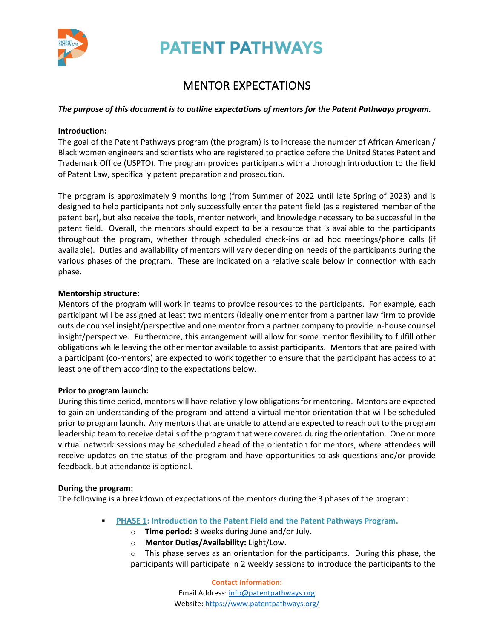

**PATENT PATHWAYS** 

## MENTOR EXPECTATIONS

#### *The purpose of this document is to outline expectations of mentors for the Patent Pathways program.*

#### **Introduction:**

The goal of the Patent Pathways program (the program) is to increase the number of African American / Black women engineers and scientists who are registered to practice before the United States Patent and Trademark Office (USPTO). The program provides participants with a thorough introduction to the field of Patent Law, specifically patent preparation and prosecution.

The program is approximately 9 months long (from Summer of 2022 until late Spring of 2023) and is designed to help participants not only successfully enter the patent field (as a registered member of the patent bar), but also receive the tools, mentor network, and knowledge necessary to be successful in the patent field. Overall, the mentors should expect to be a resource that is available to the participants throughout the program, whether through scheduled check-ins or ad hoc meetings/phone calls (if available). Duties and availability of mentors will vary depending on needs of the participants during the various phases of the program. These are indicated on a relative scale below in connection with each phase.

#### **Mentorship structure:**

Mentors of the program will work in teams to provide resources to the participants. For example, each participant will be assigned at least two mentors (ideally one mentor from a partner law firm to provide outside counsel insight/perspective and one mentor from a partner company to provide in-house counsel insight/perspective. Furthermore, this arrangement will allow for some mentor flexibility to fulfill other obligations while leaving the other mentor available to assist participants. Mentors that are paired with a participant (co-mentors) are expected to work together to ensure that the participant has access to at least one of them according to the expectations below.

#### **Prior to program launch:**

During this time period, mentors will have relatively low obligationsfor mentoring. Mentors are expected to gain an understanding of the program and attend a virtual mentor orientation that will be scheduled prior to program launch. Any mentors that are unable to attend are expected to reach out to the program leadership team to receive details of the program that were covered during the orientation. One or more virtual network sessions may be scheduled ahead of the orientation for mentors, where attendees will receive updates on the status of the program and have opportunities to ask questions and/or provide feedback, but attendance is optional.

#### **During the program:**

The following is a breakdown of expectations of the mentors during the 3 phases of the program:

- **PHASE 1: Introduction to the Patent Field and the Patent Pathways Program.** 
	- o **Time period:** 3 weeks during June and/or July.
	- o **Mentor Duties/Availability:** Light/Low.
	- $\circ$  This phase serves as an orientation for the participants. During this phase, the participants will participate in 2 weekly sessions to introduce the participants to the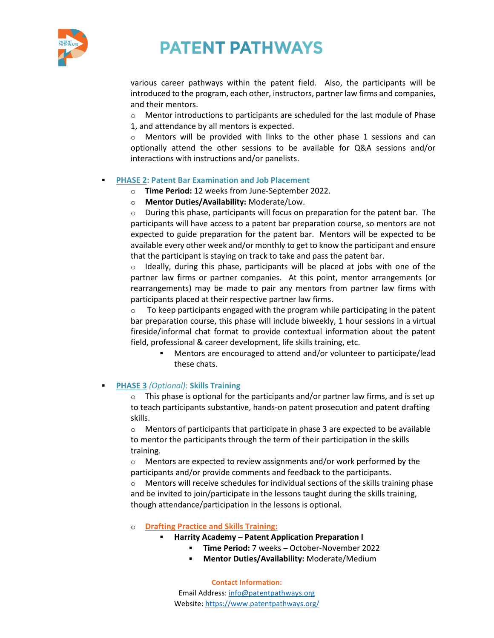

# **PATENT PATHWAYS**

various career pathways within the patent field. Also, the participants will be introduced to the program, each other, instructors, partner law firms and companies, and their mentors.

 $\circ$  Mentor introductions to participants are scheduled for the last module of Phase 1, and attendance by all mentors is expected.

Mentors will be provided with links to the other phase 1 sessions and can optionally attend the other sessions to be available for Q&A sessions and/or interactions with instructions and/or panelists.

#### **PHASE 2: Patent Bar Examination and Job Placement**

- o **Time Period:** 12 weeks from June-September 2022.
- o **Mentor Duties/Availability:** Moderate/Low.

 $\circ$  During this phase, participants will focus on preparation for the patent bar. The participants will have access to a patent bar preparation course, so mentors are not expected to guide preparation for the patent bar. Mentors will be expected to be available every other week and/or monthly to get to know the participant and ensure that the participant is staying on track to take and pass the patent bar.

 $\circ$  Ideally, during this phase, participants will be placed at jobs with one of the partner law firms or partner companies. At this point, mentor arrangements (or rearrangements) may be made to pair any mentors from partner law firms with participants placed at their respective partner law firms.

 $\circ$  To keep participants engaged with the program while participating in the patent bar preparation course, this phase will include biweekly, 1 hour sessions in a virtual fireside/informal chat format to provide contextual information about the patent field, professional & career development, life skills training, etc.

▪ Mentors are encouraged to attend and/or volunteer to participate/lead these chats.

#### ▪ **PHASE 3** *(Optional)*: **Skills Training**

o This phase is optional for the participants and/or partner law firms, and is set up to teach participants substantive, hands-on patent prosecution and patent drafting skills.

 $\circ$  Mentors of participants that participate in phase 3 are expected to be available to mentor the participants through the term of their participation in the skills training.

o Mentors are expected to review assignments and/or work performed by the participants and/or provide comments and feedback to the participants.

Mentors will receive schedules for individual sections of the skills training phase and be invited to join/participate in the lessons taught during the skills training, though attendance/participation in the lessons is optional.

#### o **Drafting Practice and Skills Training:**

- **Harrity Academy – Patent Application Preparation I**
	- **Time Period:** 7 weeks October-November 2022
	- **Mentor Duties/Availability:** Moderate/Medium

**Contact Information:** Email Address: [info@patentpathways.org](mailto:info@patentpathways.org) Website[: https://www.patentpathways.org/](https://www.patentpathways.org/)